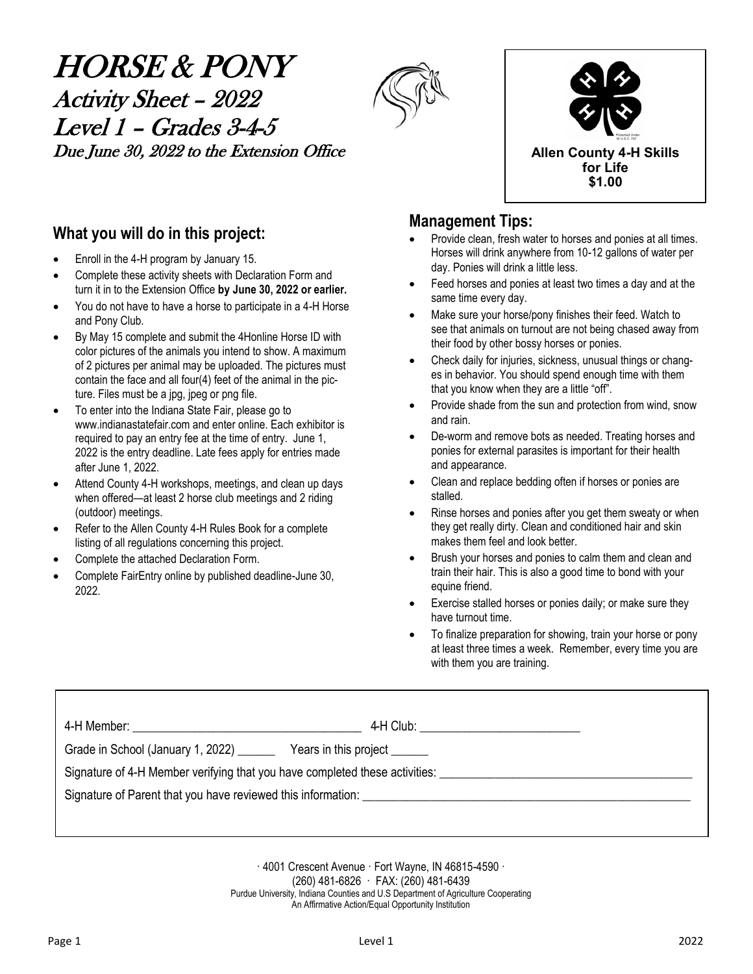# HORSE & PONY Activity Sheet – 2022 Level 1 – Grades 3-4-5 Due June 30, 2022 to the Extension Office **Allen County 4-H** Skills





### **What you will do in this project:**

- Enroll in the 4-H program by January 15.
- Complete these activity sheets with Declaration Form and turn it in to the Extension Office **by June 30, 2022 or earlier.**
- You do not have to have a horse to participate in a 4-H Horse and Pony Club.
- By May 15 complete and submit the 4Honline Horse ID with color pictures of the animals you intend to show. A maximum of 2 pictures per animal may be uploaded. The pictures must contain the face and all four(4) feet of the animal in the picture. Files must be a jpg, jpeg or png file.
- To enter into the Indiana State Fair, please go to www.indianastatefair.com and enter online. Each exhibitor is required to pay an entry fee at the time of entry. June 1, 2022 is the entry deadline. Late fees apply for entries made after June 1, 2022.
- Attend County 4-H workshops, meetings, and clean up days when offered—at least 2 horse club meetings and 2 riding (outdoor) meetings.
- Refer to the Allen County 4-H Rules Book for a complete listing of all regulations concerning this project.
- Complete the attached Declaration Form.
- Complete FairEntry online by published deadline-June 30, 2022.

### **Management Tips:**

- Provide clean, fresh water to horses and ponies at all times. Horses will drink anywhere from 10-12 gallons of water per day. Ponies will drink a little less.
- Feed horses and ponies at least two times a day and at the same time every day.
- Make sure your horse/pony finishes their feed. Watch to see that animals on turnout are not being chased away from their food by other bossy horses or ponies.
- Check daily for injuries, sickness, unusual things or changes in behavior. You should spend enough time with them that you know when they are a little "off".
- Provide shade from the sun and protection from wind, snow and rain.
- De-worm and remove bots as needed. Treating horses and ponies for external parasites is important for their health and appearance.
- Clean and replace bedding often if horses or ponies are stalled.
- Rinse horses and ponies after you get them sweaty or when they get really dirty. Clean and conditioned hair and skin makes them feel and look better.
- Brush your horses and ponies to calm them and clean and train their hair. This is also a good time to bond with your equine friend.
- Exercise stalled horses or ponies daily; or make sure they have turnout time.
- To finalize preparation for showing, train your horse or pony at least three times a week. Remember, every time you are with them you are training.

|                                                                             |                               | 4-H Club: __________________________ |
|-----------------------------------------------------------------------------|-------------------------------|--------------------------------------|
| Grade in School (January 1, 2022) ______                                    | Years in this project _______ |                                      |
| Signature of 4-H Member verifying that you have completed these activities: |                               |                                      |
|                                                                             |                               |                                      |
|                                                                             |                               |                                      |

· 4001 Crescent Avenue · Fort Wayne, IN 46815-4590 · (260) 481-6826 · FAX: (260) 481-6439 Purdue University, Indiana Counties and U.S Department of Agriculture Cooperating An Affirmative Action/Equal Opportunity Institution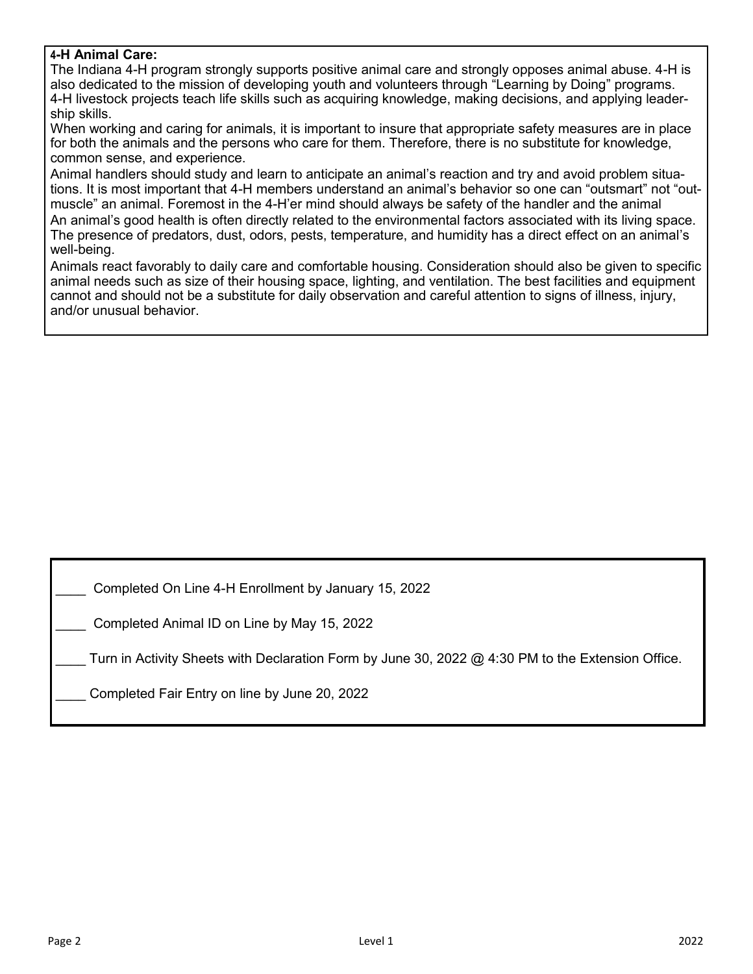### **4-H Animal Care:**

The Indiana 4-H program strongly supports positive animal care and strongly opposes animal abuse. 4-H is also dedicated to the mission of developing youth and volunteers through "Learning by Doing" programs. 4-H livestock projects teach life skills such as acquiring knowledge, making decisions, and applying leadership skills.

When working and caring for animals, it is important to insure that appropriate safety measures are in place for both the animals and the persons who care for them. Therefore, there is no substitute for knowledge, common sense, and experience.

Animal handlers should study and learn to anticipate an animal's reaction and try and avoid problem situations. It is most important that 4-H members understand an animal's behavior so one can "outsmart" not "outmuscle" an animal. Foremost in the 4-H'er mind should always be safety of the handler and the animal An animal's good health is often directly related to the environmental factors associated with its living space. The presence of predators, dust, odors, pests, temperature, and humidity has a direct effect on an animal's well-being.

Animals react favorably to daily care and comfortable housing. Consideration should also be given to specific animal needs such as size of their housing space, lighting, and ventilation. The best facilities and equipment cannot and should not be a substitute for daily observation and careful attention to signs of illness, injury, and/or unusual behavior.

\_\_\_\_ Completed On Line 4-H Enrollment by January 15, 2022

\_\_\_\_ Completed Animal ID on Line by May 15, 2022

Turn in Activity Sheets with Declaration Form by June 30, 2022  $@$  4:30 PM to the Extension Office.

Completed Fair Entry on line by June 20, 2022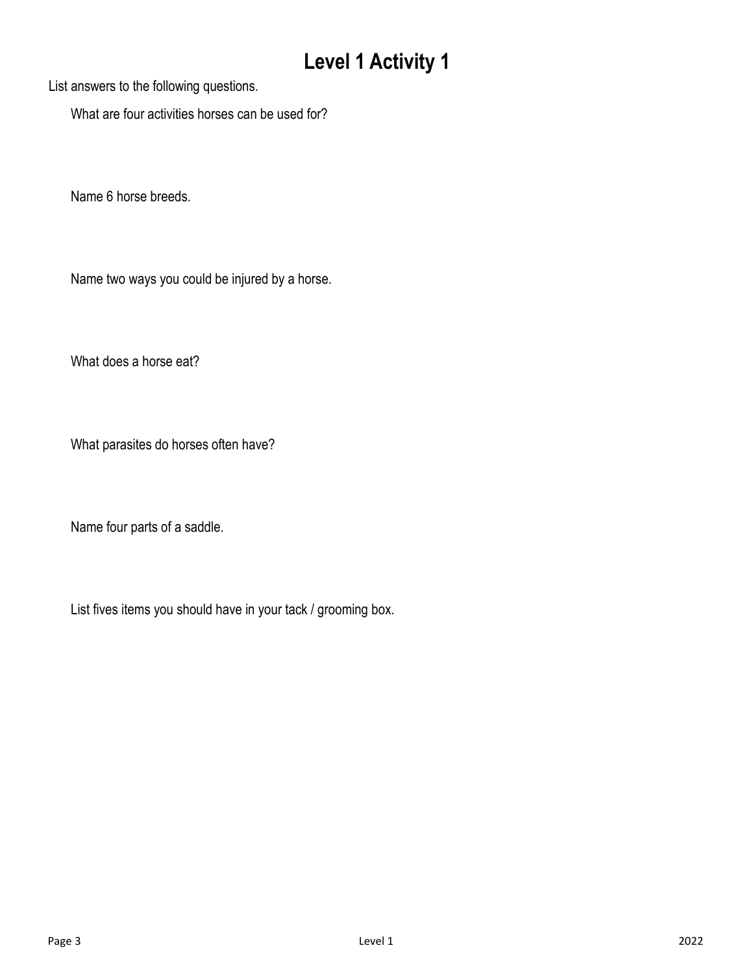List answers to the following questions.

What are four activities horses can be used for?

Name 6 horse breeds.

Name two ways you could be injured by a horse.

What does a horse eat?

What parasites do horses often have?

Name four parts of a saddle.

List fives items you should have in your tack / grooming box.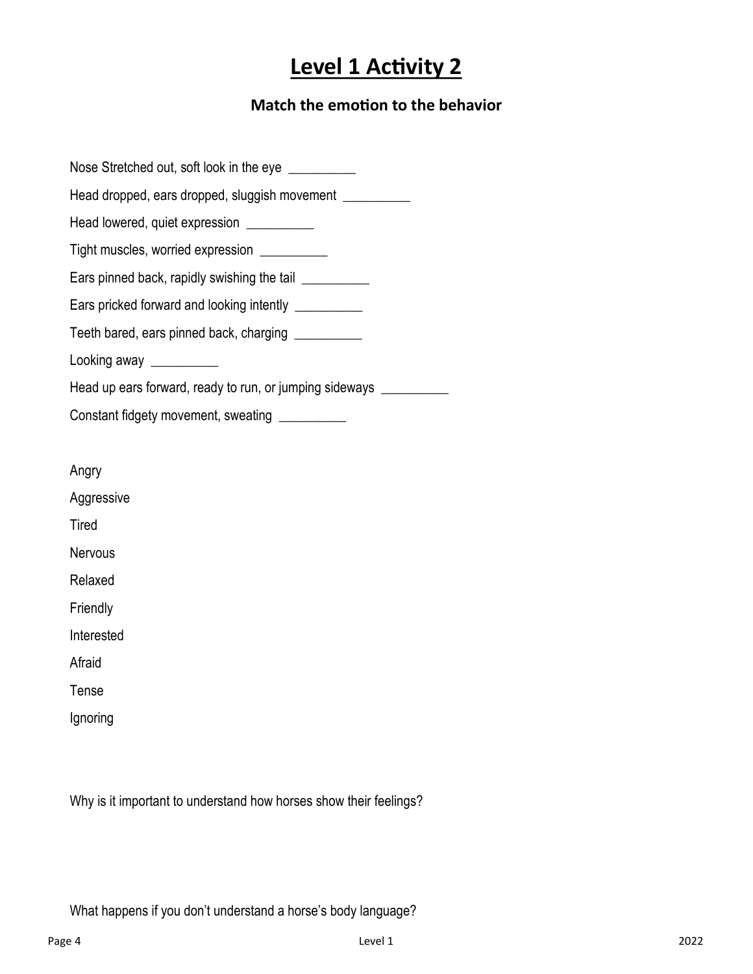### **Match the emotion to the behavior**

Nose Stretched out, soft look in the eye \_\_\_\_\_\_\_\_\_\_ Head dropped, ears dropped, sluggish movement \_\_\_\_\_\_\_\_\_\_ Head lowered, quiet expression \_\_\_\_\_\_\_\_\_\_ Tight muscles, worried expression \_\_\_\_\_\_\_\_\_\_ Ears pinned back, rapidly swishing the tail Ears pricked forward and looking intently **Lationary** Teeth bared, ears pinned back, charging \_\_\_\_\_\_\_\_\_\_ Looking away \_\_\_\_\_\_\_\_\_\_\_ Head up ears forward, ready to run, or jumping sideways \_\_\_\_\_\_\_\_\_\_\_ Constant fidgety movement, sweating \_\_\_\_\_\_\_\_\_\_ Angry Aggressive **Tired Nervous** Relaxed Friendly Interested Afraid Tense Ignoring

Why is it important to understand how horses show their feelings?

What happens if you don't understand a horse's body language?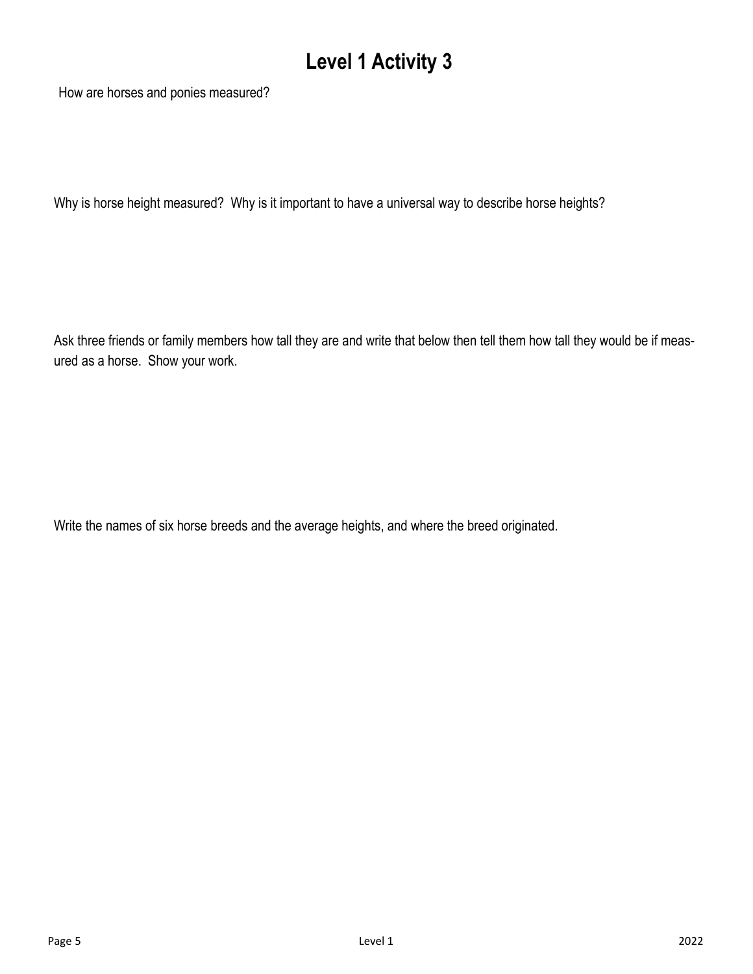How are horses and ponies measured?

Why is horse height measured? Why is it important to have a universal way to describe horse heights?

Ask three friends or family members how tall they are and write that below then tell them how tall they would be if measured as a horse. Show your work.

Write the names of six horse breeds and the average heights, and where the breed originated.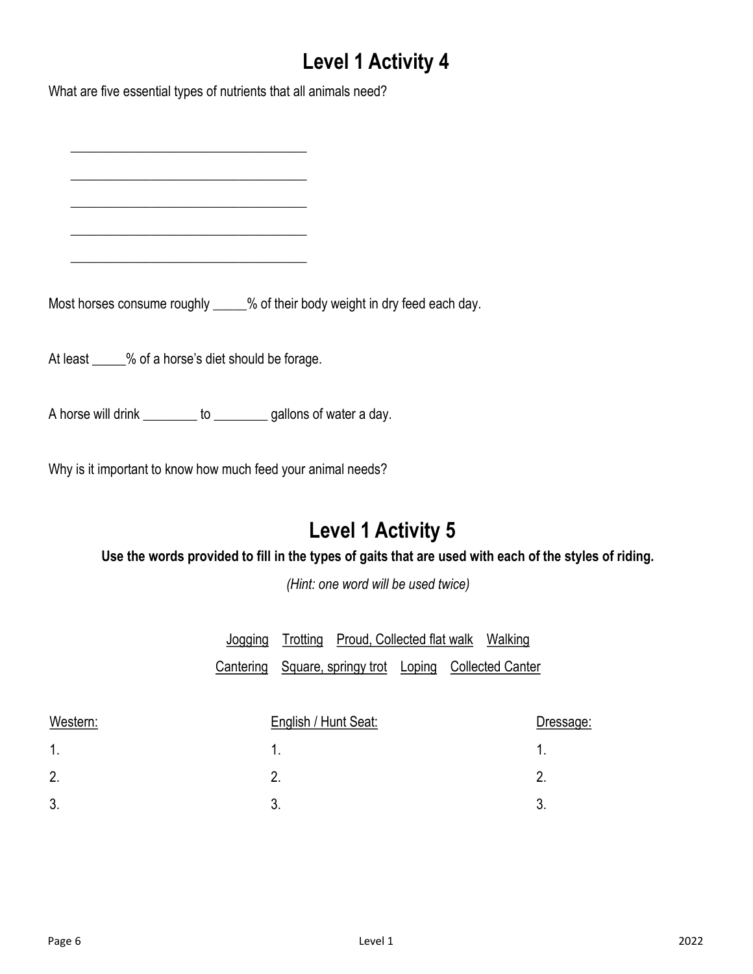What are five essential types of nutrients that all animals need?

\_\_\_\_\_\_\_\_\_\_\_\_\_\_\_\_\_\_\_\_\_\_\_\_\_\_\_\_\_\_\_\_\_\_\_

\_\_\_\_\_\_\_\_\_\_\_\_\_\_\_\_\_\_\_\_\_\_\_\_\_\_\_\_\_\_\_\_\_\_\_

 $\frac{1}{2}$  ,  $\frac{1}{2}$  ,  $\frac{1}{2}$  ,  $\frac{1}{2}$  ,  $\frac{1}{2}$  ,  $\frac{1}{2}$  ,  $\frac{1}{2}$  ,  $\frac{1}{2}$  ,  $\frac{1}{2}$  ,  $\frac{1}{2}$  ,  $\frac{1}{2}$  ,  $\frac{1}{2}$  ,  $\frac{1}{2}$  ,  $\frac{1}{2}$  ,  $\frac{1}{2}$  ,  $\frac{1}{2}$  ,  $\frac{1}{2}$  ,  $\frac{1}{2}$  ,  $\frac{1$ 

 $\frac{1}{2}$  ,  $\frac{1}{2}$  ,  $\frac{1}{2}$  ,  $\frac{1}{2}$  ,  $\frac{1}{2}$  ,  $\frac{1}{2}$  ,  $\frac{1}{2}$  ,  $\frac{1}{2}$  ,  $\frac{1}{2}$  ,  $\frac{1}{2}$  ,  $\frac{1}{2}$  ,  $\frac{1}{2}$  ,  $\frac{1}{2}$  ,  $\frac{1}{2}$  ,  $\frac{1}{2}$  ,  $\frac{1}{2}$  ,  $\frac{1}{2}$  ,  $\frac{1}{2}$  ,  $\frac{1$ 

\_\_\_\_\_\_\_\_\_\_\_\_\_\_\_\_\_\_\_\_\_\_\_\_\_\_\_\_\_\_\_\_\_\_\_

Most horses consume roughly \_\_\_\_\_% of their body weight in dry feed each day.

At least \_\_\_\_\_% of a horse's diet should be forage.

A horse will drink \_\_\_\_\_\_\_\_ to \_\_\_\_\_\_\_\_ gallons of water a day.

Why is it important to know how much feed your animal needs?

## **Level 1 Activity 5**

**Use the words provided to fill in the types of gaits that are used with each of the styles of riding.** 

*(Hint: one word will be used twice)*

|  | Jogging Trotting Proud, Collected flat walk Walking    |  |  |
|--|--------------------------------------------------------|--|--|
|  | Cantering Square, springy trot Loping Collected Canter |  |  |

| Western: | English / Hunt Seat: | Dressage: |
|----------|----------------------|-----------|
| 1.       |                      |           |
| 2.       |                      |           |
| 3.       |                      |           |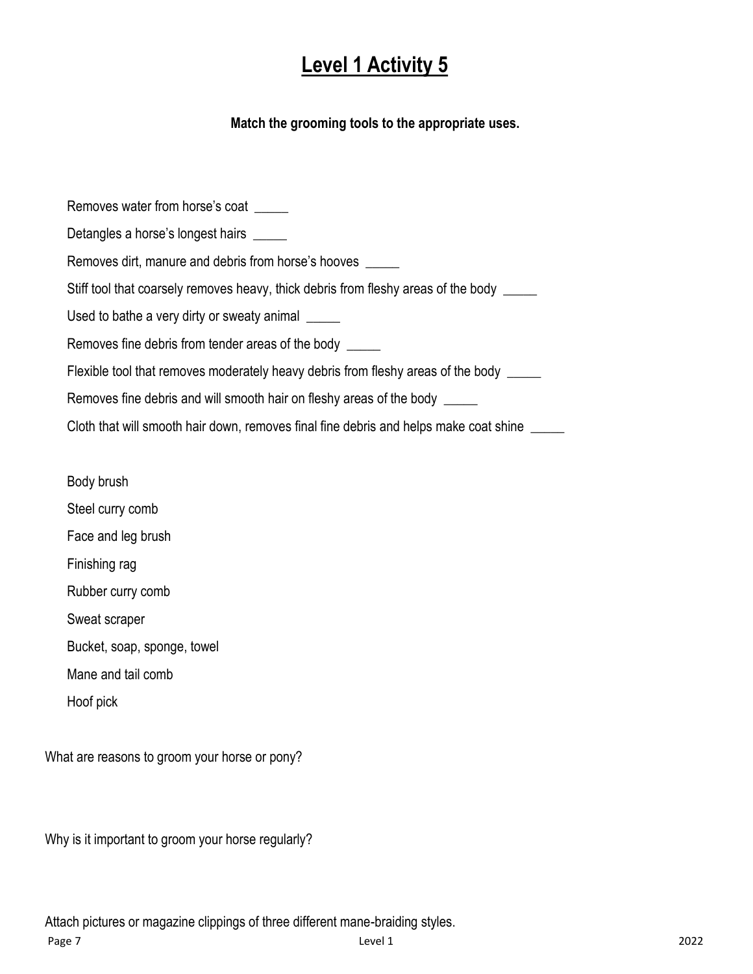### **Match the grooming tools to the appropriate uses.**

Removes water from horse's coat \_\_\_\_\_ Detangles a horse's longest hairs \_\_\_\_\_ Removes dirt, manure and debris from horse's hooves \_\_\_\_\_ Stiff tool that coarsely removes heavy, thick debris from fleshy areas of the body Used to bathe a very dirty or sweaty animal Removes fine debris from tender areas of the body \_\_\_\_\_ Flexible tool that removes moderately heavy debris from fleshy areas of the body \_\_\_\_\_ Removes fine debris and will smooth hair on fleshy areas of the body \_\_\_\_\_ Cloth that will smooth hair down, removes final fine debris and helps make coat shine \_\_\_\_\_

Body brush Steel curry comb Face and leg brush Finishing rag Rubber curry comb Sweat scraper Bucket, soap, sponge, towel Mane and tail comb Hoof pick

What are reasons to groom your horse or pony?

Why is it important to groom your horse regularly?